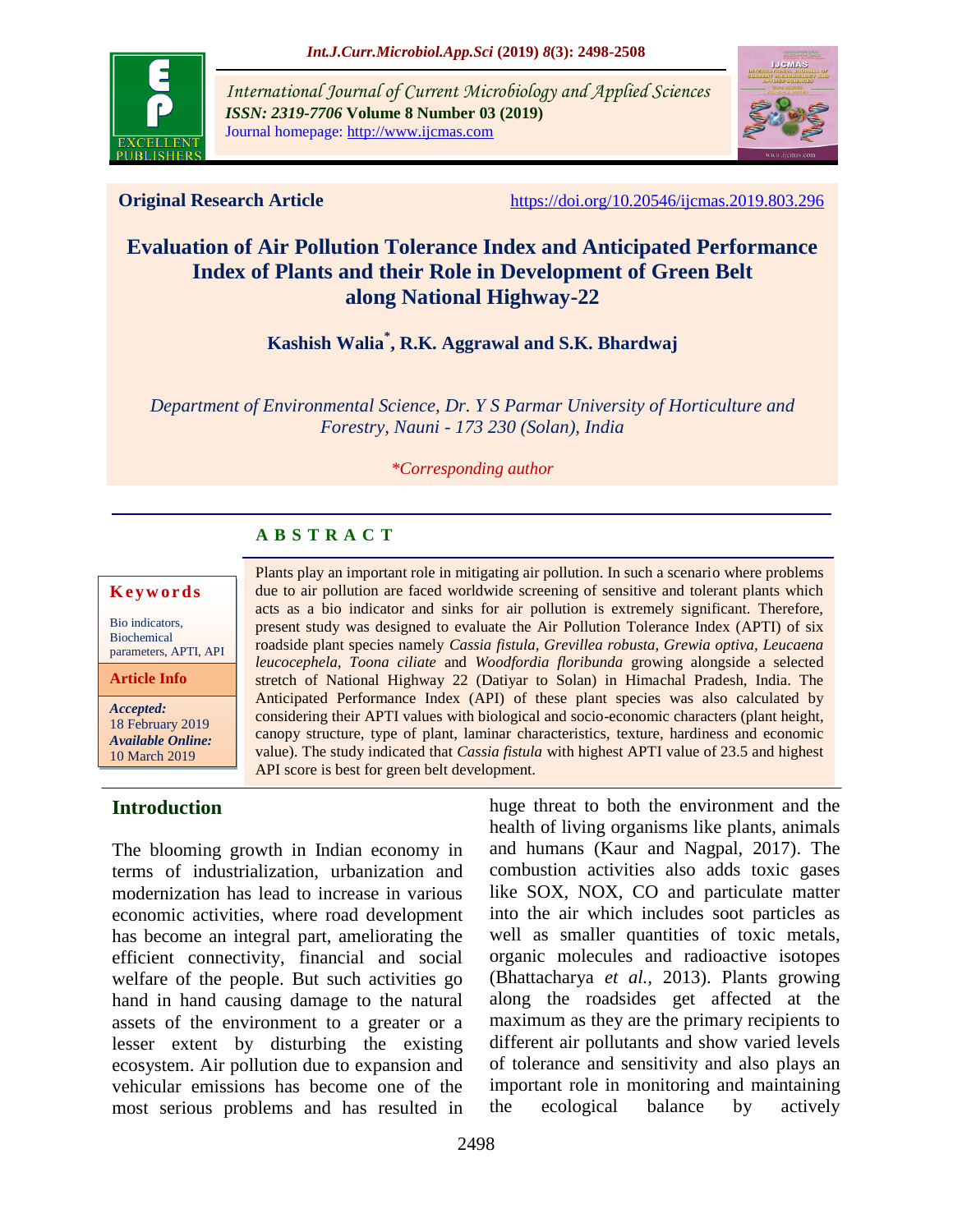

*International Journal of Current Microbiology and Applied Sciences ISSN: 2319-7706* **Volume 8 Number 03 (2019)**  Journal homepage: http://www.ijcmas.com



**Original Research Article** <https://doi.org/10.20546/ijcmas.2019.803.296>

# **Evaluation of Air Pollution Tolerance Index and Anticipated Performance Index of Plants and their Role in Development of Green Belt along National Highway-22**

# **Kashish Walia\* , R.K. Aggrawal and S.K. Bhardwaj**

*Department of Environmental Science, Dr. Y S Parmar University of Horticulture and Forestry, Nauni - 173 230 (Solan), India*

#### *\*Corresponding author*

# **A B S T R A C T**

#### **K e y w o r d s**

Bio indicators, Biochemical parameters, APTI, API

**Article Info**

*Accepted:*  18 February 2019 *Available Online:* 10 March 2019

# **Introduction**

The blooming growth in Indian economy in terms of industrialization, urbanization and modernization has lead to increase in various economic activities, where road development has become an integral part, ameliorating the efficient connectivity, financial and social welfare of the people. But such activities go hand in hand causing damage to the natural assets of the environment to a greater or a lesser extent by disturbing the existing ecosystem. Air pollution due to expansion and vehicular emissions has become one of the most serious problems and has resulted in

Plants play an important role in mitigating air pollution. In such a scenario where problems due to air pollution are faced worldwide screening of sensitive and tolerant plants which acts as a bio indicator and sinks for air pollution is extremely significant. Therefore, present study was designed to evaluate the Air Pollution Tolerance Index (APTI) of six roadside plant species namely *Cassia fistula, Grevillea robusta, Grewia optiva, Leucaena leucocephela, Toona ciliate* and *Woodfordia floribunda* growing alongside a selected stretch of National Highway 22 (Datiyar to Solan) in Himachal Pradesh, India. The Anticipated Performance Index (API) of these plant species was also calculated by considering their APTI values with biological and socio-economic characters (plant height, canopy structure, type of plant, laminar characteristics, texture, hardiness and economic value). The study indicated that *Cassia fistula* with highest APTI value of 23.5 and highest API score is best for green belt development.

> huge threat to both the environment and the health of living organisms like plants, animals and humans (Kaur and Nagpal, 2017). The combustion activities also adds toxic gases like SOX, NOX, CO and particulate matter into the air which includes soot particles as well as smaller quantities of toxic metals, organic molecules and radioactive isotopes (Bhattacharya *et al.,* 2013). Plants growing along the roadsides get affected at the maximum as they are the primary recipients to different air pollutants and show varied levels of tolerance and sensitivity and also plays an important role in monitoring and maintaining the ecological balance by actively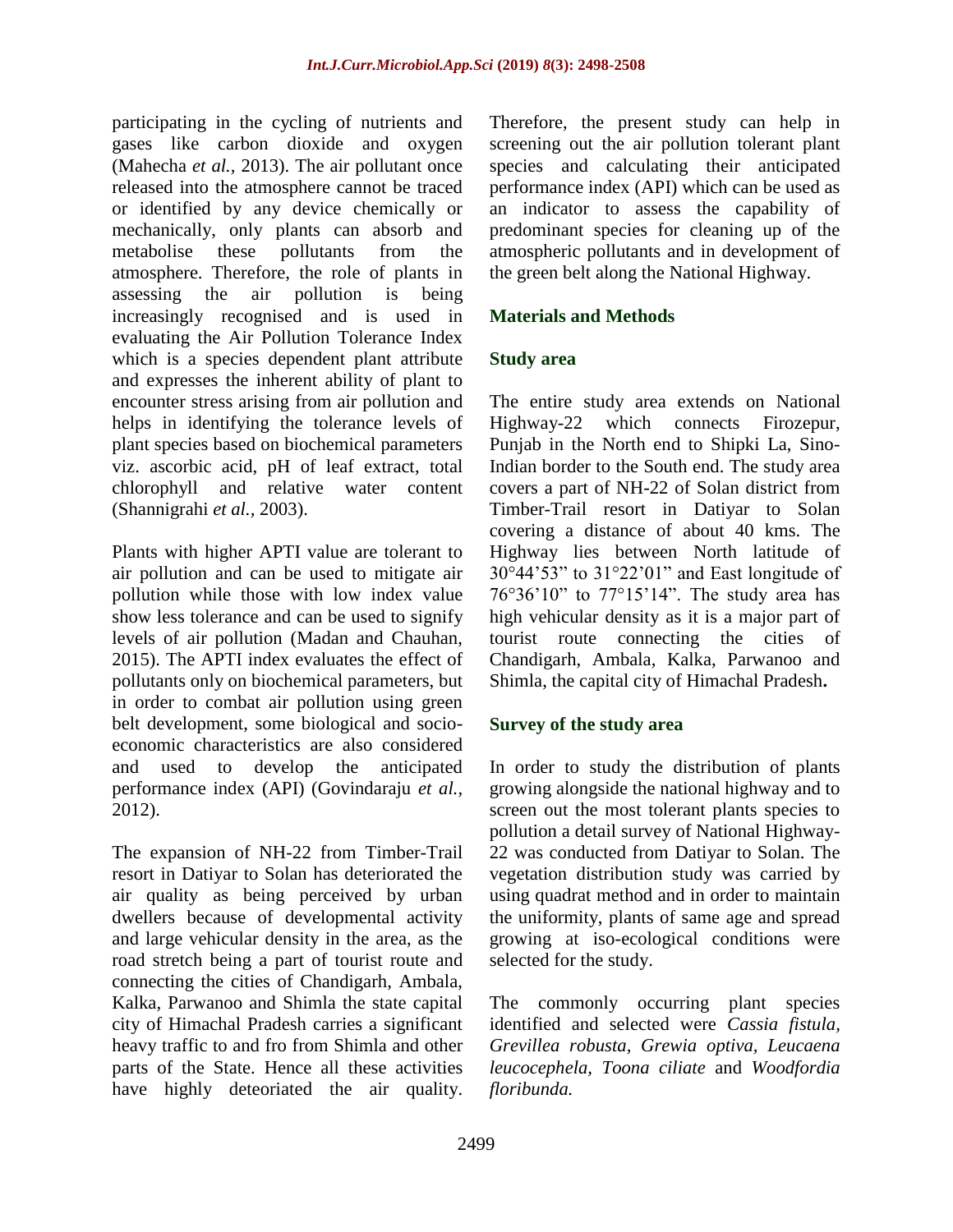participating in the cycling of nutrients and gases like carbon dioxide and oxygen (Mahecha *et al.,* 2013). The air pollutant once released into the atmosphere cannot be traced or identified by any device chemically or mechanically, only plants can absorb and metabolise these pollutants from the atmosphere. Therefore, the role of plants in assessing the air pollution is being increasingly recognised and is used in evaluating the Air Pollution Tolerance Index which is a species dependent plant attribute and expresses the inherent ability of plant to encounter stress arising from air pollution and helps in identifying the tolerance levels of plant species based on biochemical parameters viz. ascorbic acid, pH of leaf extract, total chlorophyll and relative water content (Shannigrahi *et al.,* 2003).

Plants with higher APTI value are tolerant to air pollution and can be used to mitigate air pollution while those with low index value show less tolerance and can be used to signify levels of air pollution (Madan and Chauhan, 2015). The APTI index evaluates the effect of pollutants only on biochemical parameters, but in order to combat air pollution using green belt development, some biological and socioeconomic characteristics are also considered and used to develop the anticipated performance index (API) (Govindaraju *et al.,* 2012).

The expansion of NH-22 from Timber-Trail resort in Datiyar to Solan has deteriorated the air quality as being perceived by urban dwellers because of developmental activity and large vehicular density in the area, as the road stretch being a part of tourist route and connecting the cities of Chandigarh, Ambala, Kalka, Parwanoo and Shimla the state capital city of Himachal Pradesh carries a significant heavy traffic to and fro from Shimla and other parts of the State. Hence all these activities have highly deteoriated the air quality. Therefore, the present study can help in screening out the air pollution tolerant plant species and calculating their anticipated performance index (API) which can be used as an indicator to assess the capability of predominant species for cleaning up of the atmospheric pollutants and in development of the green belt along the National Highway.

# **Materials and Methods**

# **Study area**

The entire study area extends on National Highway-22 which connects Firozepur, Punjab in the North end to Shipki La, Sino-Indian border to the South end. The study area covers a part of NH-22 of Solan district from Timber-Trail resort in Datiyar to Solan covering a distance of about 40 kms. The Highway lies between North latitude of 30°44'53" to 31°22'01" and East longitude of 76°36'10" to 77°15'14". The study area has high vehicular density as it is a major part of tourist route connecting the cities of Chandigarh, Ambala, Kalka, Parwanoo and Shimla, the capital city of Himachal Pradesh**.**

# **Survey of the study area**

In order to study the distribution of plants growing alongside the national highway and to screen out the most tolerant plants species to pollution a detail survey of National Highway-22 was conducted from Datiyar to Solan. The vegetation distribution study was carried by using quadrat method and in order to maintain the uniformity, plants of same age and spread growing at iso-ecological conditions were selected for the study.

The commonly occurring plant species identified and selected were *Cassia fistula, Grevillea robusta, Grewia optiva, Leucaena leucocephela, Toona ciliate* and *Woodfordia floribunda.*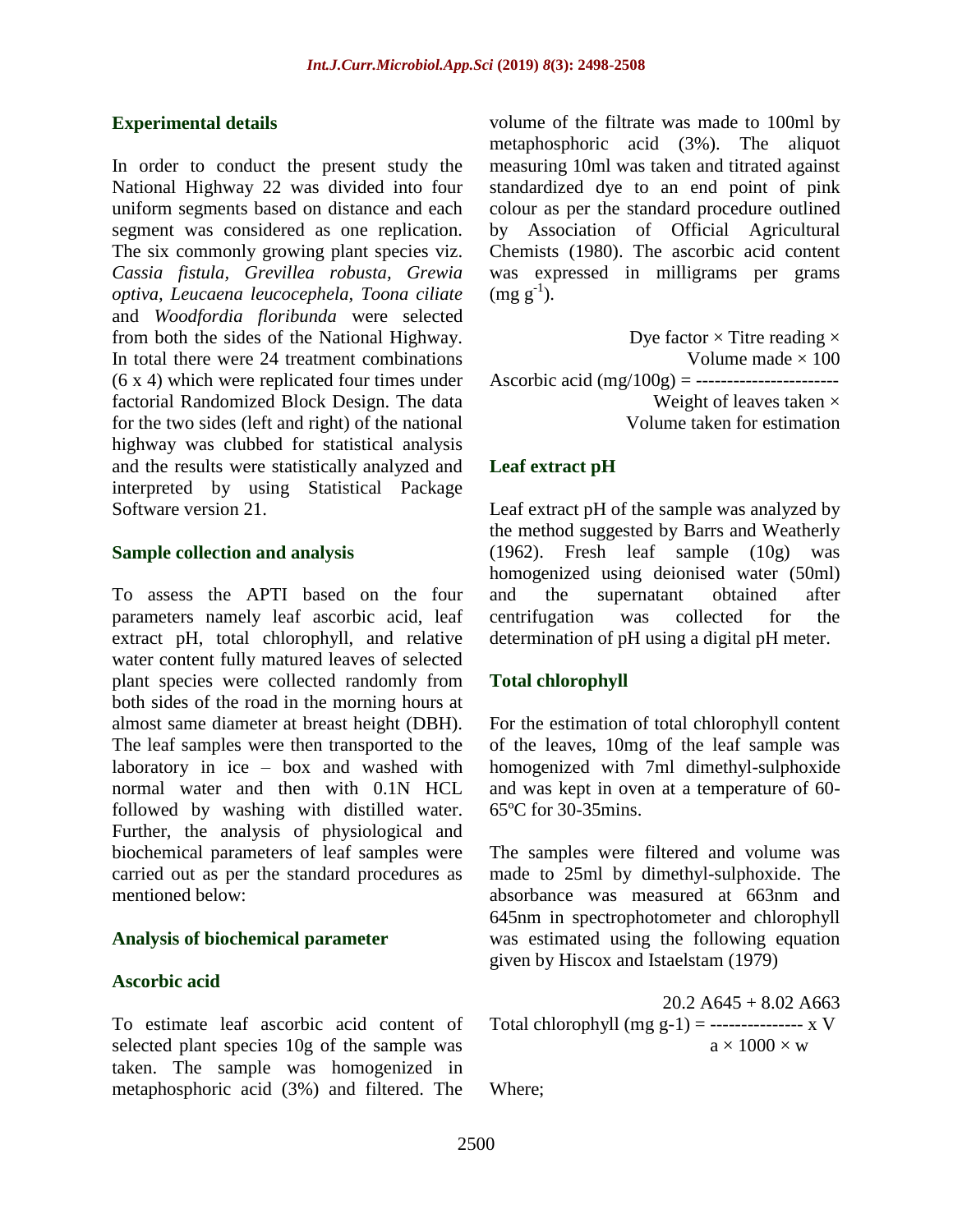### **Experimental details**

In order to conduct the present study the National Highway 22 was divided into four uniform segments based on distance and each segment was considered as one replication. The six commonly growing plant species viz. *Cassia fistula, Grevillea robusta, Grewia optiva, Leucaena leucocephela, Toona ciliate*  and *Woodfordia floribunda* were selected from both the sides of the National Highway. In total there were 24 treatment combinations (6 x 4) which were replicated four times under factorial Randomized Block Design. The data for the two sides (left and right) of the national highway was clubbed for statistical analysis and the results were statistically analyzed and interpreted by using Statistical Package Software version 21.

#### **Sample collection and analysis**

To assess the APTI based on the four parameters namely leaf ascorbic acid, leaf extract pH, total chlorophyll, and relative water content fully matured leaves of selected plant species were collected randomly from both sides of the road in the morning hours at almost same diameter at breast height (DBH). The leaf samples were then transported to the laboratory in ice – box and washed with normal water and then with 0.1N HCL followed by washing with distilled water. Further, the analysis of physiological and biochemical parameters of leaf samples were carried out as per the standard procedures as mentioned below:

#### **Analysis of biochemical parameter**

#### **Ascorbic acid**

To estimate leaf ascorbic acid content of selected plant species 10g of the sample was taken. The sample was homogenized in metaphosphoric acid (3%) and filtered. The

volume of the filtrate was made to 100ml by metaphosphoric acid (3%). The aliquot measuring 10ml was taken and titrated against standardized dye to an end point of pink colour as per the standard procedure outlined by Association of Official Agricultural Chemists (1980). The ascorbic acid content was expressed in milligrams per grams  $(mg g^{-1}).$ 

Dye factor  $\times$  Titre reading  $\times$ Volume made  $\times 100$ Ascorbic acid (mg/100g) = ----------------------- Weight of leaves taken  $\times$ Volume taken for estimation

## **Leaf extract pH**

Leaf extract pH of the sample was analyzed by the method suggested by Barrs and Weatherly (1962). Fresh leaf sample (10g) was homogenized using deionised water (50ml) and the supernatant obtained after centrifugation was collected for the determination of pH using a digital pH meter.

### **Total chlorophyll**

For the estimation of total chlorophyll content of the leaves, 10mg of the leaf sample was homogenized with 7ml dimethyl-sulphoxide and was kept in oven at a temperature of 60- 65ºC for 30-35mins.

The samples were filtered and volume was made to 25ml by dimethyl-sulphoxide. The absorbance was measured at 663nm and 645nm in spectrophotometer and chlorophyll was estimated using the following equation given by Hiscox and Istaelstam (1979)

 $20.2$  A645 + 8.02 A663 Total chlorophyll (mg g-1) = ---------------- x V  $a \times 1000 \times w$ 

Where;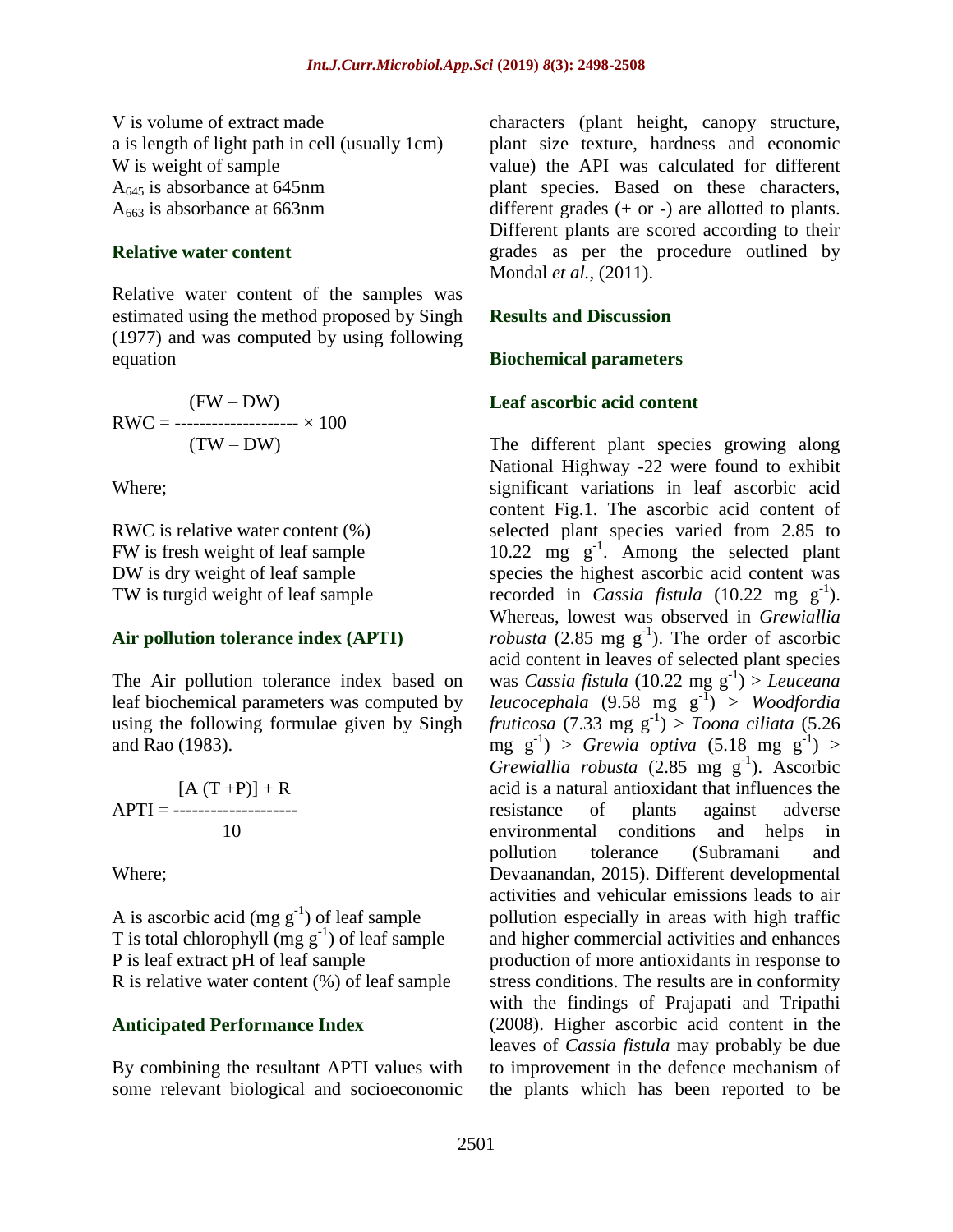V is volume of extract made a is length of light path in cell (usually 1cm) W is weight of sample  $A_{645}$  is absorbance at 645nm  $A_{663}$  is absorbance at 663nm

#### **Relative water content**

Relative water content of the samples was estimated using the method proposed by Singh (1977) and was computed by using following equation

$$
RWC = \frac{(FW - DW)}{(TW - DW)} \times 100
$$

Where;

RWC is relative water content (%) FW is fresh weight of leaf sample DW is dry weight of leaf sample TW is turgid weight of leaf sample

#### **Air pollution tolerance index (APTI)**

The Air pollution tolerance index based on leaf biochemical parameters was computed by using the following formulae given by Singh and Rao (1983).

 $[A(T + P)] + R$ APTI = -------------------- 10

Where;

A is ascorbic acid (mg  $g^{-1}$ ) of leaf sample T is total chlorophyll  $(mg g^{-1})$  of leaf sample P is leaf extract pH of leaf sample R is relative water content (%) of leaf sample

### **Anticipated Performance Index**

By combining the resultant APTI values with some relevant biological and socioeconomic characters (plant height, canopy structure, plant size texture, hardness and economic value) the API was calculated for different plant species. Based on these characters, different grades  $(+ or -)$  are allotted to plants. Different plants are scored according to their grades as per the procedure outlined by Mondal *et al.,* (2011).

#### **Results and Discussion**

#### **Biochemical parameters**

#### **Leaf ascorbic acid content**

The different plant species growing along National Highway -22 were found to exhibit significant variations in leaf ascorbic acid content Fig.1. The ascorbic acid content of selected plant species varied from 2.85 to 10.22 mg  $g^{-1}$ . Among the selected plant species the highest ascorbic acid content was recorded in *Cassia fistula* (10.22 mg  $g^{-1}$ ). Whereas, lowest was observed in *Grewiallia robusta* (2.85 mg  $g^{-1}$ ). The order of ascorbic acid content in leaves of selected plant species was *Cassia fistula* (10.22 mg g-1 ) > *Leuceana leucocephala* (9.58 mg g-1 ) > *Woodfordia fruticosa* (7.33 mg g-1 ) > *Toona ciliata* (5.26  $\text{mg } g^{-1}$ ) > *Grewia optiva* (5.18 mg  $g^{-1}$ ) >  $Grewiallia robusta (2.85 mg g<sup>-1</sup>). Ascorbic$ acid is a natural antioxidant that influences the resistance of plants against adverse environmental conditions and helps in pollution tolerance (Subramani and Devaanandan, 2015). Different developmental activities and vehicular emissions leads to air pollution especially in areas with high traffic and higher commercial activities and enhances production of more antioxidants in response to stress conditions. The results are in conformity with the findings of Prajapati and Tripathi (2008). Higher ascorbic acid content in the leaves of *Cassia fistula* may probably be due to improvement in the defence mechanism of the plants which has been reported to be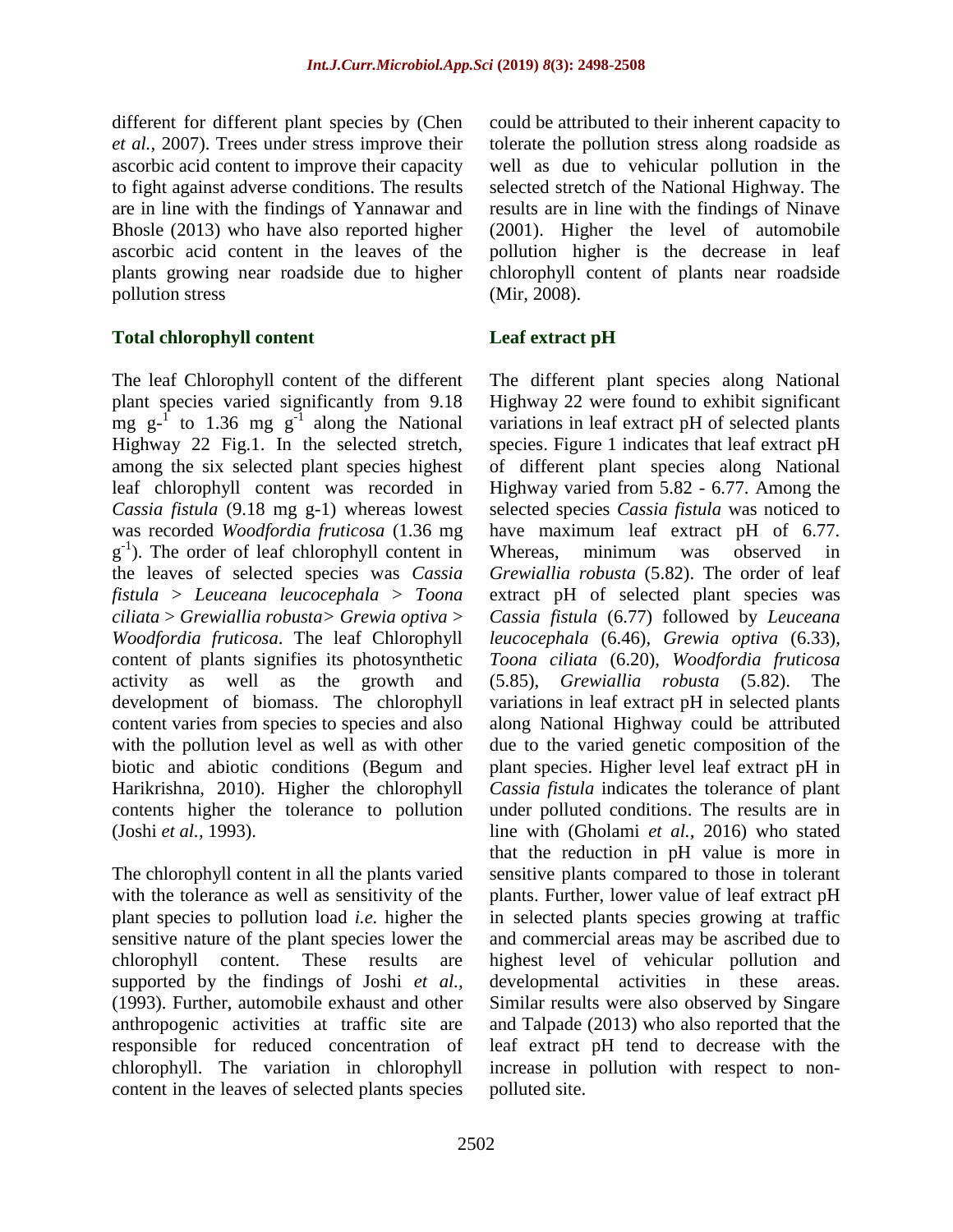different for different plant species by (Chen *et al.,* 2007). Trees under stress improve their ascorbic acid content to improve their capacity to fight against adverse conditions. The results are in line with the findings of Yannawar and Bhosle (2013) who have also reported higher ascorbic acid content in the leaves of the plants growing near roadside due to higher pollution stress

# **Total chlorophyll content**

The leaf Chlorophyll content of the different plant species varied significantly from 9.18 mg  $g^{-1}$  to 1.36 mg  $g^{-1}$  along the National Highway 22 Fig.1. In the selected stretch, among the six selected plant species highest leaf chlorophyll content was recorded in *Cassia fistula* (9.18 mg g-1) whereas lowest was recorded *Woodfordia fruticosa* (1.36 mg g<sup>-1</sup>). The order of leaf chlorophyll content in the leaves of selected species was *Cassia fistula* > *Leuceana leucocephala* > *Toona ciliata* > *Grewiallia robusta> Grewia optiva* > *Woodfordia fruticosa*. The leaf Chlorophyll content of plants signifies its photosynthetic activity as well as the growth and development of biomass. The chlorophyll content varies from species to species and also with the pollution level as well as with other biotic and abiotic conditions (Begum and Harikrishna, 2010). Higher the chlorophyll contents higher the tolerance to pollution (Joshi *et al.,* 1993).

The chlorophyll content in all the plants varied with the tolerance as well as sensitivity of the plant species to pollution load *i.e.* higher the sensitive nature of the plant species lower the chlorophyll content. These results are supported by the findings of Joshi *et al.,* (1993). Further, automobile exhaust and other anthropogenic activities at traffic site are responsible for reduced concentration of chlorophyll. The variation in chlorophyll content in the leaves of selected plants species

could be attributed to their inherent capacity to tolerate the pollution stress along roadside as well as due to vehicular pollution in the selected stretch of the National Highway. The results are in line with the findings of Ninave (2001). Higher the level of automobile pollution higher is the decrease in leaf chlorophyll content of plants near roadside (Mir*,* 2008).

# **Leaf extract pH**

The different plant species along National Highway 22 were found to exhibit significant variations in leaf extract pH of selected plants species. Figure 1 indicates that leaf extract pH of different plant species along National Highway varied from 5.82 - 6.77. Among the selected species *Cassia fistula* was noticed to have maximum leaf extract pH of 6.77. Whereas, minimum was observed in *Grewiallia robusta* (5.82). The order of leaf extract pH of selected plant species was *Cassia fistula* (6.77) followed by *Leuceana leucocephala* (6.46), *Grewia optiva* (6.33), *Toona ciliata* (6.20), *Woodfordia fruticosa* (5.85), *Grewiallia robusta* (5.82). The variations in leaf extract pH in selected plants along National Highway could be attributed due to the varied genetic composition of the plant species. Higher level leaf extract pH in *Cassia fistula* indicates the tolerance of plant under polluted conditions. The results are in line with (Gholami *et al.,* 2016) who stated that the reduction in pH value is more in sensitive plants compared to those in tolerant plants. Further, lower value of leaf extract pH in selected plants species growing at traffic and commercial areas may be ascribed due to highest level of vehicular pollution and developmental activities in these areas. Similar results were also observed by Singare and Talpade (2013) who also reported that the leaf extract pH tend to decrease with the increase in pollution with respect to nonpolluted site.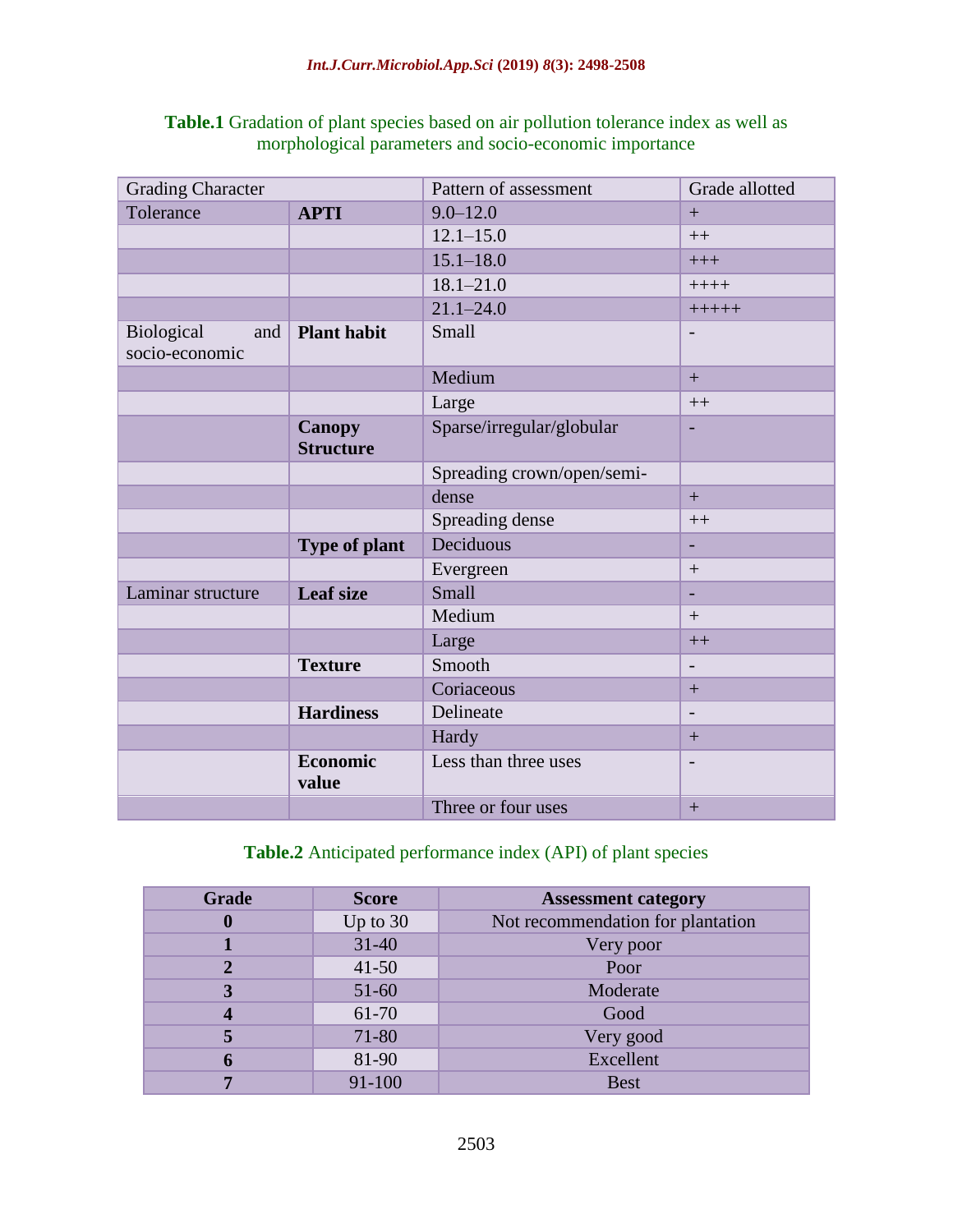|                                                        | <b>Table.1</b> Gradation of plant species based on air pollution tolerance index as well as |  |  |  |  |  |  |  |  |
|--------------------------------------------------------|---------------------------------------------------------------------------------------------|--|--|--|--|--|--|--|--|
| morphological parameters and socio-economic importance |                                                                                             |  |  |  |  |  |  |  |  |

| <b>Grading Character</b>                   |                                   | Pattern of assessment      | Grade allotted           |  |  |
|--------------------------------------------|-----------------------------------|----------------------------|--------------------------|--|--|
| Tolerance                                  | <b>APTI</b>                       | $9.0 - 12.0$               | $+$                      |  |  |
|                                            |                                   | $12.1 - 15.0$              | $++$                     |  |  |
|                                            |                                   | $15.1 - 18.0$              | $+++$                    |  |  |
|                                            |                                   | $18.1 - 21.0$              | $+++++$                  |  |  |
|                                            |                                   | $21.1 - 24.0$              | $+++++$                  |  |  |
| <b>Biological</b><br>and<br>socio-economic | <b>Plant habit</b>                | Small                      | $\overline{\phantom{a}}$ |  |  |
|                                            |                                   | Medium                     | $+$                      |  |  |
|                                            |                                   | Large                      | $++$                     |  |  |
|                                            | <b>Canopy</b><br><b>Structure</b> | Sparse/irregular/globular  | $\overline{\phantom{a}}$ |  |  |
|                                            |                                   | Spreading crown/open/semi- |                          |  |  |
|                                            |                                   | dense                      | $+$                      |  |  |
|                                            |                                   | Spreading dense            | $++$                     |  |  |
|                                            | <b>Type of plant</b>              | Deciduous                  |                          |  |  |
|                                            |                                   | Evergreen                  | $+$                      |  |  |
| Laminar structure                          | <b>Leaf size</b>                  | Small                      | $\overline{\phantom{0}}$ |  |  |
|                                            |                                   | Medium                     | $+$                      |  |  |
|                                            |                                   | Large                      | $++$                     |  |  |
|                                            | <b>Texture</b>                    | Smooth                     | $\overline{\phantom{a}}$ |  |  |
|                                            |                                   | Coriaceous                 | $+$                      |  |  |
|                                            | <b>Hardiness</b>                  | Delineate                  | $\overline{\phantom{a}}$ |  |  |
|                                            |                                   | Hardy                      | $+$                      |  |  |
|                                            | <b>Economic</b><br>value          | Less than three uses       | $\overline{\phantom{a}}$ |  |  |
|                                            |                                   | Three or four uses         | $+$                      |  |  |

# **Table.2** Anticipated performance index (API) of plant species

| Grade | <b>Score</b> | <b>Assessment category</b>        |  |  |  |  |
|-------|--------------|-----------------------------------|--|--|--|--|
|       | Up to $30$   | Not recommendation for plantation |  |  |  |  |
|       | $31-40$      | Very poor                         |  |  |  |  |
|       | $41 - 50$    | Poor                              |  |  |  |  |
| о     | $51-60$      | Moderate                          |  |  |  |  |
| 61-70 |              | Good                              |  |  |  |  |
|       | 71-80        | Very good                         |  |  |  |  |
|       | 81-90        | Excellent                         |  |  |  |  |
|       | 91-100       | <b>Best</b>                       |  |  |  |  |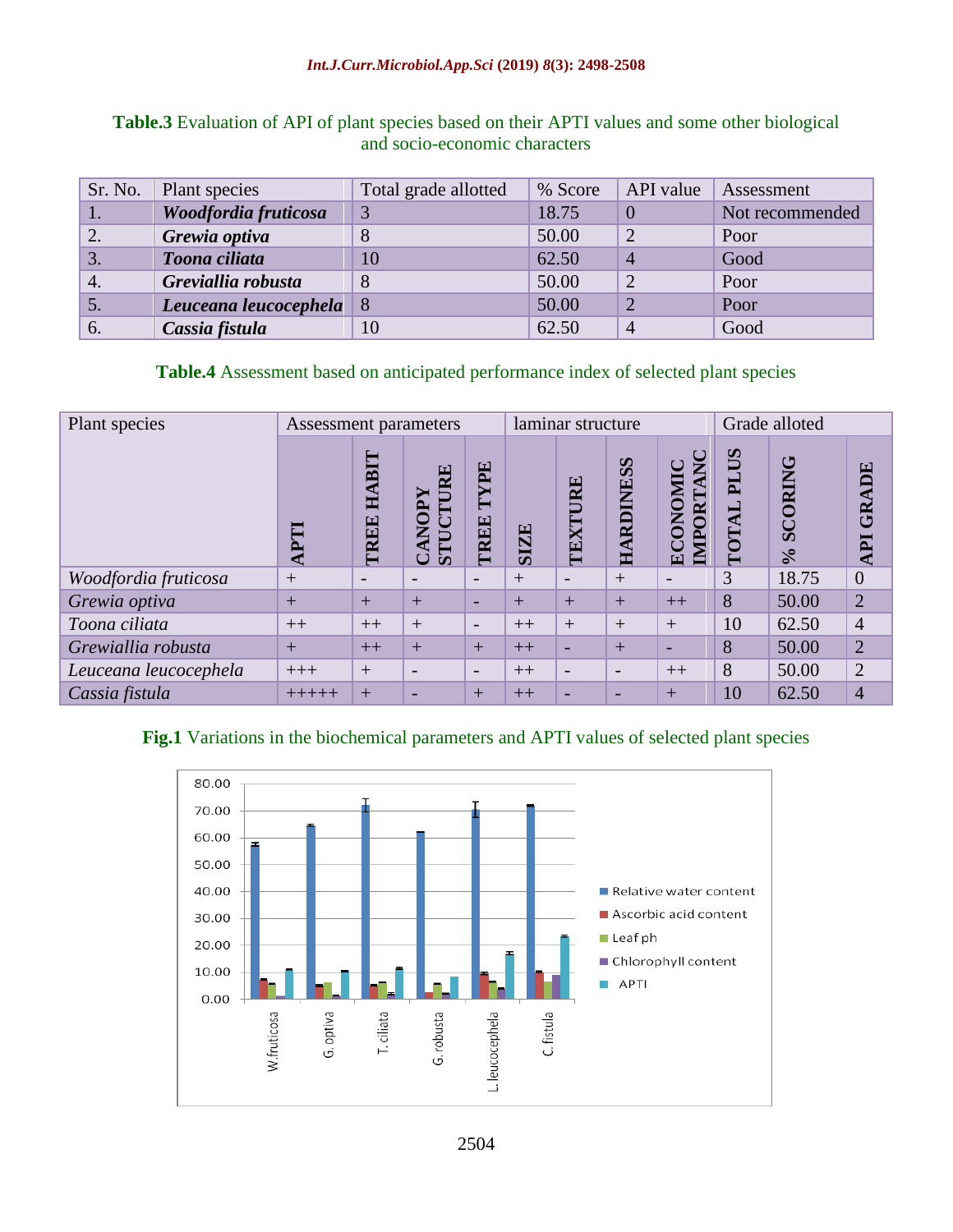| Sr. No.          | Plant species         | Total grade allotted | % Score | API value      | Assessment      |
|------------------|-----------------------|----------------------|---------|----------------|-----------------|
|                  | Woodfordia fruticosa  | 3                    | 18.75   |                | Not recommended |
| 2.               | Grewia optiva         |                      | 50.00   | $\overline{2}$ | Poor            |
| 3.               | Toona ciliata         | 10                   | 62.50   | $\overline{4}$ | Good            |
| $\overline{4}$ . | Greviallia robusta    | 8                    | 50.00   | 2              | Poor            |
| 5.               | Leuceana leucocephela | l 8                  | 50.00   | ာ              | Poor            |
| 6.               | Cassia fistula        | 10                   | 62.50   | $\overline{4}$ | Good            |

# **Table.3** Evaluation of API of plant species based on their APTI values and some other biological and socio-economic characters

# **Table.4** Assessment based on anticipated performance index of selected plant species

| Plant species         | Assessment parameters |                          |                                          | laminar structure        |             |                          |                          | Grade alloted                                    |                                          |                                                          |                                      |
|-----------------------|-----------------------|--------------------------|------------------------------------------|--------------------------|-------------|--------------------------|--------------------------|--------------------------------------------------|------------------------------------------|----------------------------------------------------------|--------------------------------------|
|                       |                       | BIT<br>E<br>TREE         | RE<br><b>ANOPY</b><br>STU<br>$\mathbf C$ | TYPE<br>TREE             | <b>SIZE</b> | TEXTURE                  | <b>AESS</b><br>RDIN<br>臣 | ں<br>$\bar{\mathbf{A}}$<br>OMI<br>IMPORT<br>ECON | $\mathbf{S}$<br>$\mathbf{I}$<br>◀<br>TOT | ڻ<br><b>ORIN</b><br>$\bar{a}$<br>$\mathcal{S}_{\bullet}$ | BE<br>GRA<br>$\overline{\mathbf{p}}$ |
| Woodfordia fruticosa  | $+$                   | $\overline{\phantom{0}}$ | $\overline{\phantom{0}}$                 | $\overline{\phantom{0}}$ | $^{+}$      | $\overline{a}$           | $+$                      | $\overline{\phantom{a}}$                         | 3                                        | 18.75                                                    | $\overline{0}$                       |
| Grewia optiva         | $+$                   | $+$                      | $+$                                      | $\overline{\phantom{0}}$ | $+$         | $+$                      | $+$                      | $++$                                             | 8                                        | 50.00                                                    | $\overline{2}$                       |
| Toona ciliata         | $++$                  | $++$                     | $+$                                      | $\overline{\phantom{0}}$ | $++$        | $+$                      | $+$                      | $+$                                              | 10                                       | 62.50                                                    | $\overline{4}$                       |
| Grewiallia robusta    | $+$                   | $++$                     | $\pm$                                    | $+$                      | $++$        | $\overline{\phantom{0}}$ | $+$                      | $\overline{\phantom{0}}$                         | 8                                        | 50.00                                                    | $\overline{2}$                       |
| Leuceana leucocephela | $+++$                 | $+$                      |                                          | $\overline{\phantom{0}}$ | $++$        | $\overline{\phantom{0}}$ | $\overline{\phantom{0}}$ | $++$                                             | 8                                        | 50.00                                                    | $\overline{2}$                       |
| Cassia fistula        | +++++                 | $+$                      |                                          | $+$                      | $++$        | $\overline{\phantom{0}}$ |                          | $+$                                              | 10                                       | 62.50                                                    | $\overline{4}$                       |

# **Fig.1** Variations in the biochemical parameters and APTI values of selected plant species

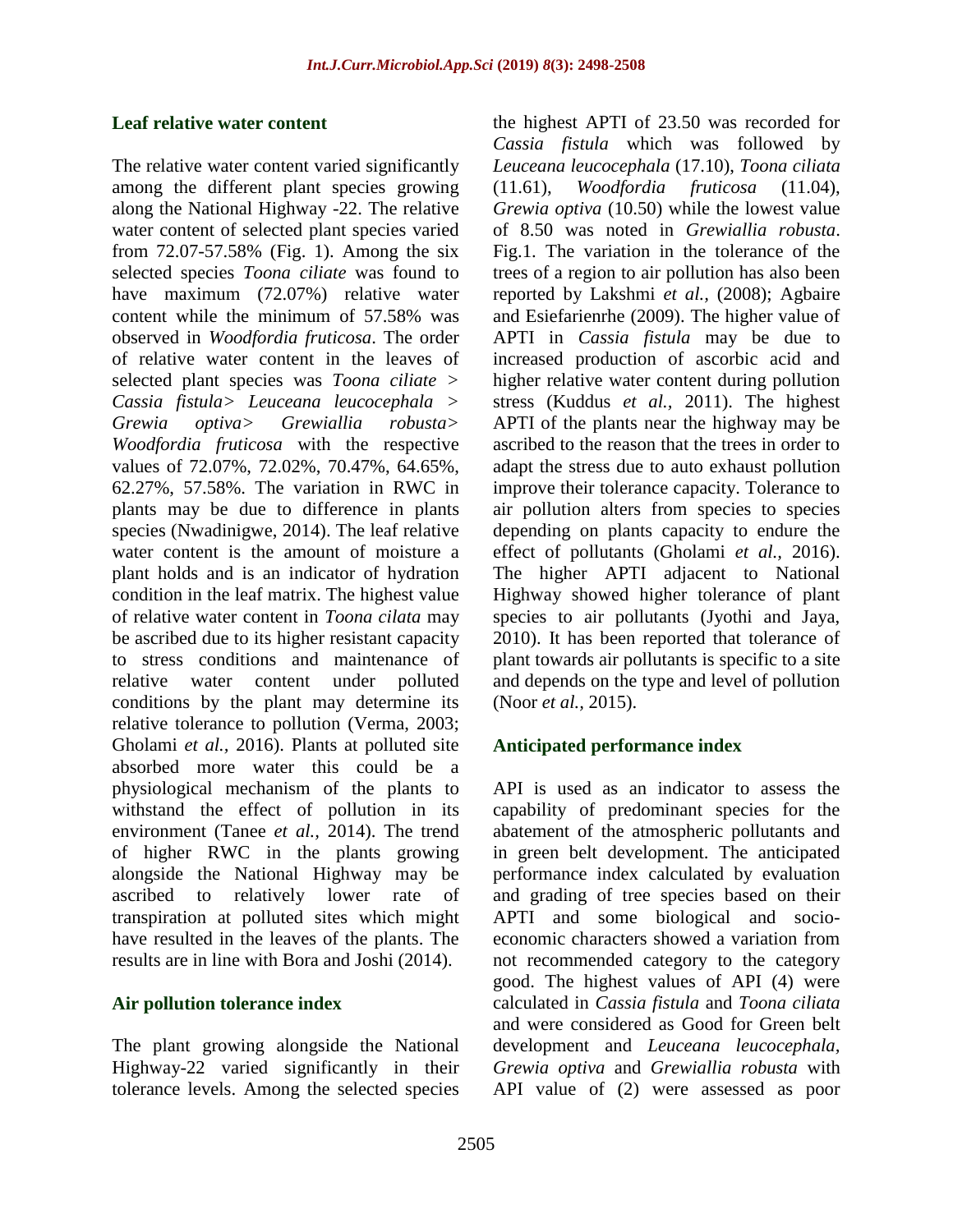## **Leaf relative water content**

The relative water content varied significantly among the different plant species growing along the National Highway -22. The relative water content of selected plant species varied from 72.07-57.58% (Fig. 1). Among the six selected species *Toona ciliate* was found to have maximum (72.07%) relative water content while the minimum of 57.58% was observed in *Woodfordia fruticosa*. The order of relative water content in the leaves of selected plant species was *Toona ciliate > Cassia fistula> Leuceana leucocephala > Grewia optiva> Grewiallia robusta> Woodfordia fruticosa* with the respective values of 72.07%, 72.02%, 70.47%, 64.65%, 62.27%, 57.58%. The variation in RWC in plants may be due to difference in plants species (Nwadinigwe, 2014). The leaf relative water content is the amount of moisture a plant holds and is an indicator of hydration condition in the leaf matrix. The highest value of relative water content in *Toona cilata* may be ascribed due to its higher resistant capacity to stress conditions and maintenance of relative water content under polluted conditions by the plant may determine its relative tolerance to pollution (Verma, 2003; Gholami *et al.,* 2016). Plants at polluted site absorbed more water this could be a physiological mechanism of the plants to withstand the effect of pollution in its environment (Tanee *et al.,* 2014). The trend of higher RWC in the plants growing alongside the National Highway may be ascribed to relatively lower rate of transpiration at polluted sites which might have resulted in the leaves of the plants. The results are in line with Bora and Joshi (2014).

# **Air pollution tolerance index**

The plant growing alongside the National Highway-22 varied significantly in their tolerance levels. Among the selected species

the highest APTI of 23.50 was recorded for *Cassia fistula* which was followed by *Leuceana leucocephala* (17.10), *Toona ciliata*  (11.61), *Woodfordia fruticosa* (11.04), *Grewia optiva* (10.50) while the lowest value of 8.50 was noted in *Grewiallia robusta*. Fig.1. The variation in the tolerance of the trees of a region to air pollution has also been reported by Lakshmi *et al.,* (2008); Agbaire and Esiefarienrhe (2009). The higher value of APTI in *Cassia fistula* may be due to increased production of ascorbic acid and higher relative water content during pollution stress (Kuddus *et al.,* 2011). The highest APTI of the plants near the highway may be ascribed to the reason that the trees in order to adapt the stress due to auto exhaust pollution improve their tolerance capacity. Tolerance to air pollution alters from species to species depending on plants capacity to endure the effect of pollutants (Gholami *et al.,* 2016). The higher APTI adjacent to National Highway showed higher tolerance of plant species to air pollutants (Jyothi and Jaya, 2010). It has been reported that tolerance of plant towards air pollutants is specific to a site and depends on the type and level of pollution (Noor *et al.,* 2015).

# **Anticipated performance index**

API is used as an indicator to assess the capability of predominant species for the abatement of the atmospheric pollutants and in green belt development. The anticipated performance index calculated by evaluation and grading of tree species based on their APTI and some biological and socioeconomic characters showed a variation from not recommended category to the category good. The highest values of API (4) were calculated in *Cassia fistula* and *Toona ciliata* and were considered as Good for Green belt development and *Leuceana leucocephala, Grewia optiva* and *Grewiallia robusta* with API value of (2) were assessed as poor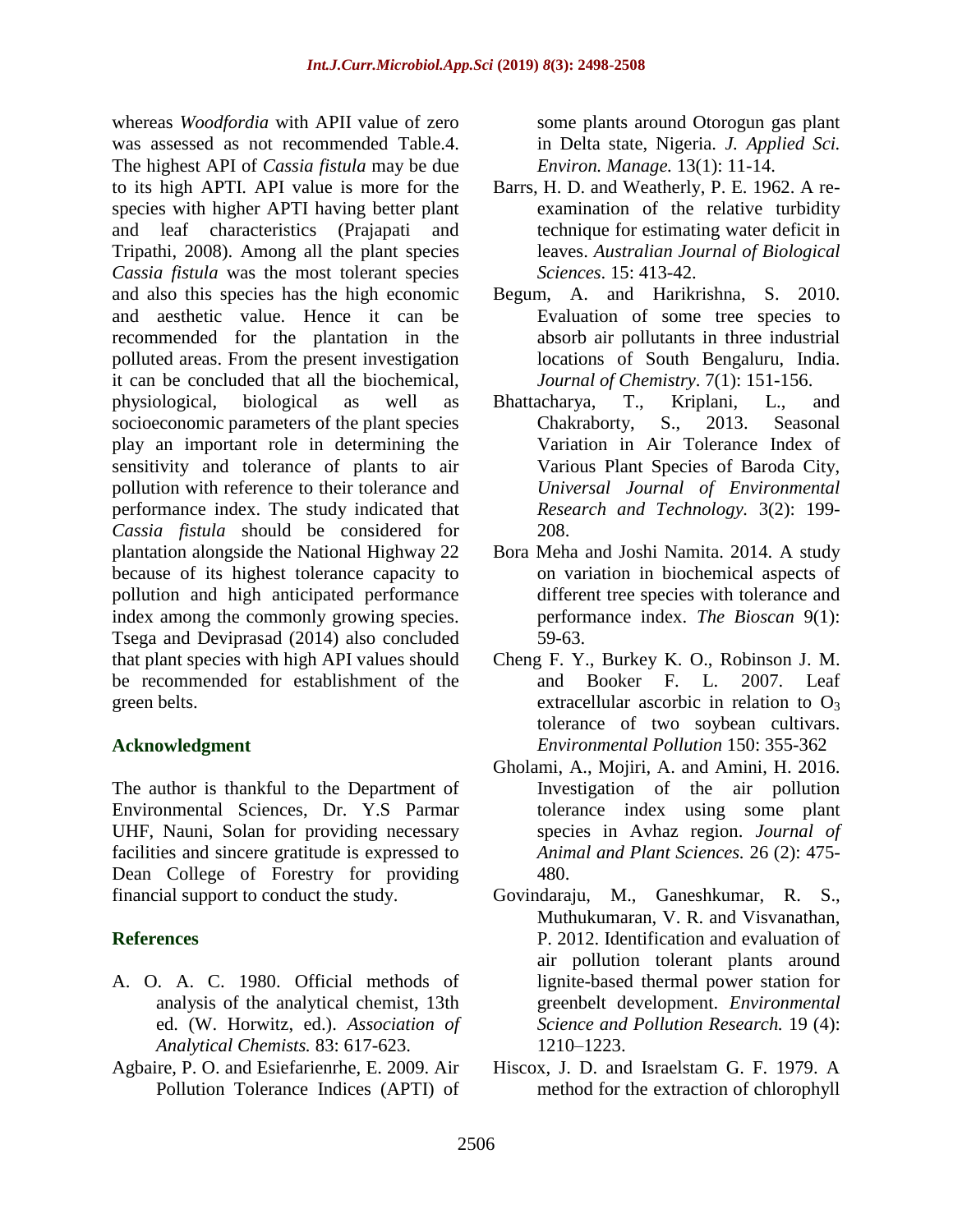whereas *Woodfordia* with APII value of zero was assessed as not recommended Table.4. The highest API of *Cassia fistula* may be due to its high APTI. API value is more for the species with higher APTI having better plant and leaf characteristics (Prajapati and Tripathi, 2008). Among all the plant species *Cassia fistula* was the most tolerant species and also this species has the high economic and aesthetic value. Hence it can be recommended for the plantation in the polluted areas. From the present investigation it can be concluded that all the biochemical, physiological, biological as well as socioeconomic parameters of the plant species play an important role in determining the sensitivity and tolerance of plants to air pollution with reference to their tolerance and performance index. The study indicated that *Cassia fistula* should be considered for plantation alongside the National Highway 22 because of its highest tolerance capacity to pollution and high anticipated performance index among the commonly growing species. Tsega and Deviprasad (2014) also concluded that plant species with high API values should be recommended for establishment of the green belts.

# **Acknowledgment**

The author is thankful to the Department of Environmental Sciences, Dr. Y.S Parmar UHF, Nauni, Solan for providing necessary facilities and sincere gratitude is expressed to Dean College of Forestry for providing financial support to conduct the study.

# **References**

- A. O. A. C. 1980. Official methods of analysis of the analytical chemist, 13th ed. (W. Horwitz, ed.). *Association of Analytical Chemists.* 83: 617-623.
- Agbaire, P. O. and Esiefarienrhe, E. 2009. Air Pollution Tolerance Indices (APTI) of

some plants around Otorogun gas plant in Delta state, Nigeria. *J. Applied Sci. Environ. Manage.* 13(1): 11-14.

- Barrs, H. D. and Weatherly, P. E. 1962. A reexamination of the relative turbidity technique for estimating water deficit in leaves. *Australian Journal of Biological Sciences*. 15: 413-42.
- Begum, A. and Harikrishna, S. 2010. Evaluation of some tree species to absorb air pollutants in three industrial locations of South Bengaluru, India. *Journal of Chemistry*. 7(1): 151-156.
- Bhattacharya, T., Kriplani, L., and Chakraborty, S., 2013. Seasonal Variation in Air Tolerance Index of Various Plant Species of Baroda City, *Universal Journal of Environmental Research and Technology.* 3(2): 199- 208.
- Bora Meha and Joshi Namita. 2014. A study on variation in biochemical aspects of different tree species with tolerance and performance index. *The Bioscan* 9(1): 59-63.
- Cheng F. Y., Burkey K. O., Robinson J. M. and Booker F. L. 2007. Leaf extracellular ascorbic in relation to  $O_3$ tolerance of two soybean cultivars. *Environmental Pollution* 150: 355-362
- Gholami, A., Mojiri, A. and Amini, H. 2016. Investigation of the air pollution tolerance index using some plant species in Avhaz region. *Journal of Animal and Plant Sciences.* 26 (2): 475- 480.
- Govindaraju, M., Ganeshkumar, R. S., Muthukumaran, V. R. and Visvanathan, P. 2012. Identification and evaluation of air pollution tolerant plants around lignite-based thermal power station for greenbelt development. *Environmental Science and Pollution Research.* 19 (4): 1210–1223.
- Hiscox, J. D. and Israelstam G. F. 1979. A method for the extraction of chlorophyll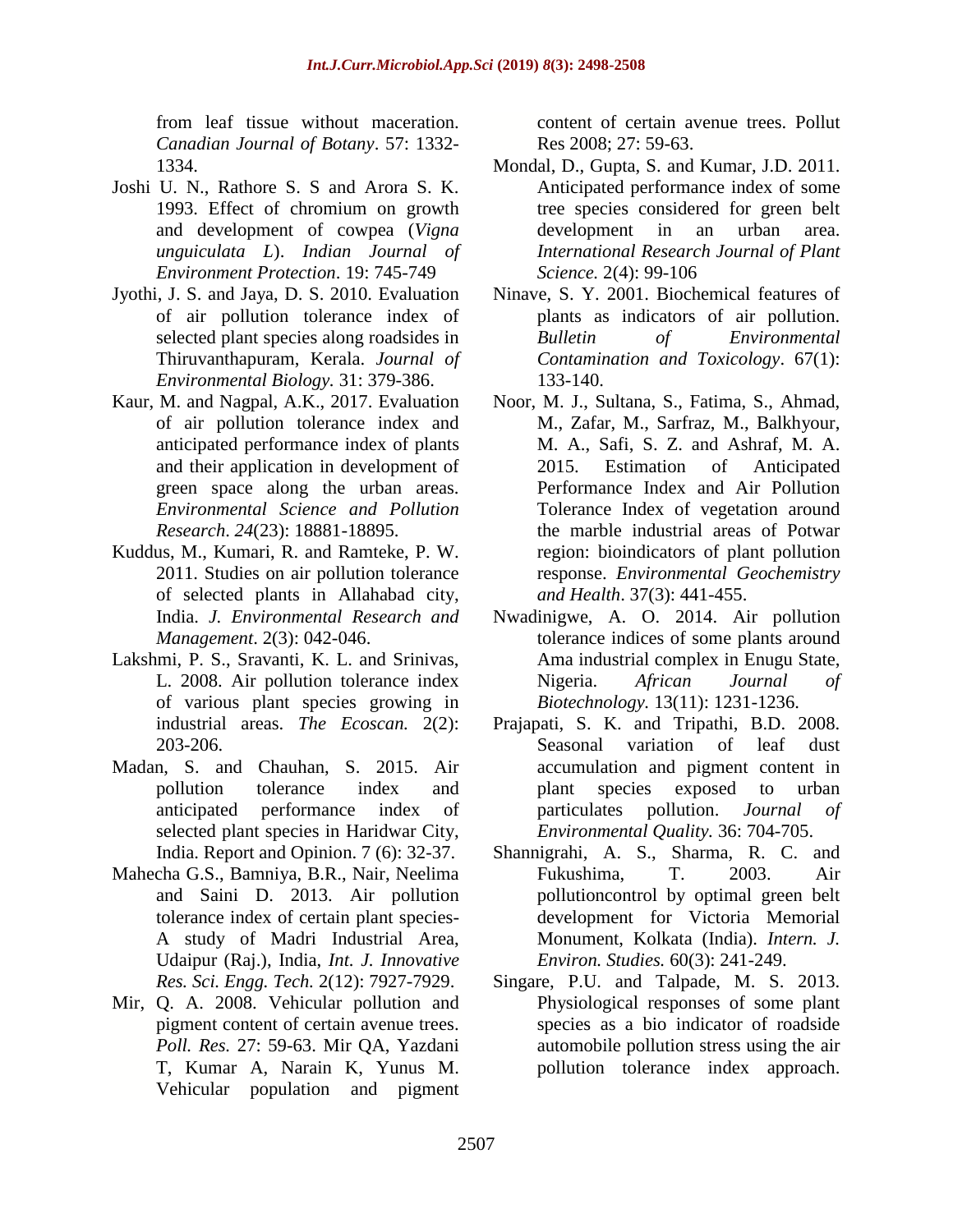from leaf tissue without maceration. *Canadian Journal of Botany*. 57: 1332- 1334.

- Joshi U. N., Rathore S. S and Arora S. K. 1993. Effect of chromium on growth and development of cowpea (*Vigna unguiculata L*). *Indian Journal of Environment Protection*. 19: 745-749
- Jyothi, J. S. and Jaya, D. S. 2010. Evaluation of air pollution tolerance index of selected plant species along roadsides in Thiruvanthapuram, Kerala. *Journal of Environmental Biology.* 31: 379-386.
- Kaur, M. and Nagpal, A.K., 2017. Evaluation of air pollution tolerance index and anticipated performance index of plants and their application in development of green space along the urban areas. *Environmental Science and Pollution Research*. *24*(23): 18881-18895.
- Kuddus, M., Kumari, R. and Ramteke, P. W. 2011. Studies on air pollution tolerance of selected plants in Allahabad city, India. *J. Environmental Research and Management*. 2(3): 042-046.
- Lakshmi, P. S., Sravanti, K. L. and Srinivas, L. 2008. Air pollution tolerance index of various plant species growing in industrial areas. *The Ecoscan.* 2(2): 203-206.
- Madan, S. and Chauhan, S. 2015. Air pollution tolerance index and anticipated performance index of selected plant species in Haridwar City, India. Report and Opinion. 7 (6): 32-37.
- Mahecha G.S., Bamniya, B.R., Nair, Neelima and Saini D. 2013. Air pollution tolerance index of certain plant species-A study of Madri Industrial Area, Udaipur (Raj.), India, *Int. J. Innovative Res. Sci. Engg. Tech.* 2(12): 7927-7929.
- Mir, Q. A. 2008. Vehicular pollution and pigment content of certain avenue trees. *Poll. Res.* 27: 59-63. Mir QA, Yazdani T, Kumar A, Narain K, Yunus M. Vehicular population and pigment

content of certain avenue trees. Pollut Res 2008; 27: 59-63.

- Mondal, D., Gupta, S. and Kumar, J.D. 2011. Anticipated performance index of some tree species considered for green belt development in an urban area. *International Research Journal of Plant Science.* 2(4): 99-106
- Ninave, S. Y. 2001. Biochemical features of plants as indicators of air pollution. *Bulletin of Environmental Contamination and Toxicology*. 67(1): 133-140.
- Noor, M. J., Sultana, S., Fatima, S., Ahmad, M., Zafar, M., Sarfraz, M., Balkhyour, M. A., Safi, S. Z. and Ashraf, M. A. 2015. Estimation of Anticipated Performance Index and Air Pollution Tolerance Index of vegetation around the marble industrial areas of Potwar region: bioindicators of plant pollution response. *Environmental Geochemistry and Health*. 37(3): 441-455.
- Nwadinigwe, A. O. 2014. Air pollution tolerance indices of some plants around Ama industrial complex in Enugu State, Nigeria. *African Journal of Biotechnology.* 13(11): 1231-1236.
- Prajapati, S. K. and Tripathi, B.D. 2008. Seasonal variation of leaf dust accumulation and pigment content in plant species exposed to urban particulates pollution. *Journal of Environmental Quality.* 36: 704-705.
- Shannigrahi, A. S., Sharma, R. C. and Fukushima, T. 2003. Air pollutioncontrol by optimal green belt development for Victoria Memorial Monument, Kolkata (India). *Intern. J. Environ. Studies.* 60(3): 241-249.
- Singare, P.U. and Talpade, M. S. 2013. Physiological responses of some plant species as a bio indicator of roadside automobile pollution stress using the air pollution tolerance index approach.